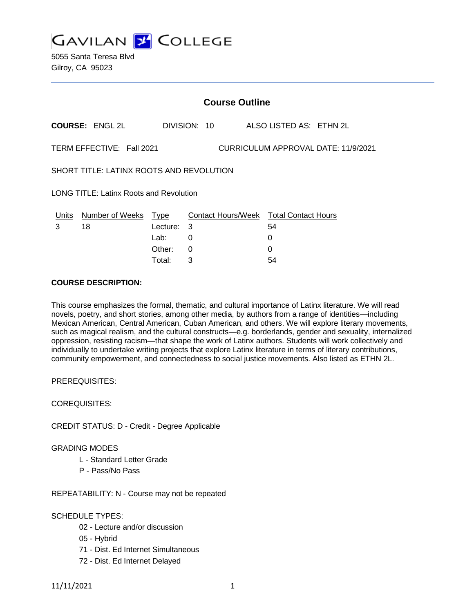**GAVILAN 2 COLLEGE** 

5055 Santa Teresa Blvd Gilroy, CA 95023

|                                                                  | <b>Course Outline</b>  |          |   |              |  |                                        |
|------------------------------------------------------------------|------------------------|----------|---|--------------|--|----------------------------------------|
|                                                                  | <b>COURSE: ENGL 2L</b> |          |   | DIVISION: 10 |  | ALSO LISTED AS: ETHN 2L                |
| TERM EFFECTIVE: Fall 2021<br>CURRICULUM APPROVAL DATE: 11/9/2021 |                        |          |   |              |  |                                        |
| SHORT TITLE: LATINX ROOTS AND REVOLUTION                         |                        |          |   |              |  |                                        |
| LONG TITLE: Latinx Roots and Revolution                          |                        |          |   |              |  |                                        |
| Units                                                            | Number of Weeks Type   |          |   |              |  | Contact Hours/Week Total Contact Hours |
| 3                                                                | 18                     | Lecture: | 3 |              |  | 54                                     |
|                                                                  |                        | Lab:     | 0 |              |  | 0                                      |
|                                                                  |                        | Other:   | 0 |              |  | 0                                      |

Total: 3 54

# **COURSE DESCRIPTION:**

This course emphasizes the formal, thematic, and cultural importance of Latinx literature. We will read novels, poetry, and short stories, among other media, by authors from a range of identities—including Mexican American, Central American, Cuban American, and others. We will explore literary movements, such as magical realism, and the cultural constructs—e.g. borderlands, gender and sexuality, internalized oppression, resisting racism—that shape the work of Latinx authors. Students will work collectively and individually to undertake writing projects that explore Latinx literature in terms of literary contributions, community empowerment, and connectedness to social justice movements. Also listed as ETHN 2L.

PREREQUISITES:

COREQUISITES:

CREDIT STATUS: D - Credit - Degree Applicable

GRADING MODES

- L Standard Letter Grade
- P Pass/No Pass

REPEATABILITY: N - Course may not be repeated

### SCHEDULE TYPES:

- 02 Lecture and/or discussion
- 05 Hybrid
- 71 Dist. Ed Internet Simultaneous
- 72 Dist. Ed Internet Delayed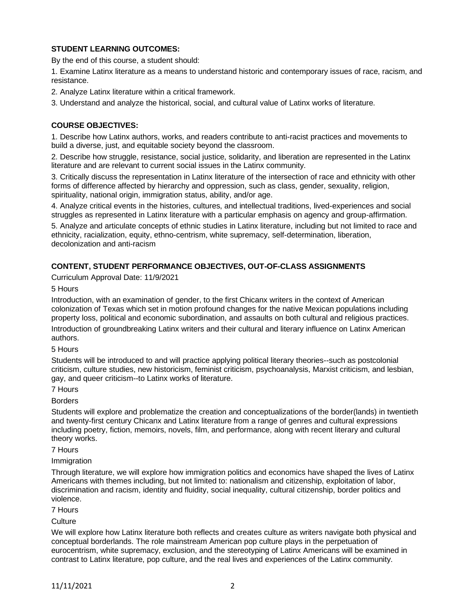# **STUDENT LEARNING OUTCOMES:**

By the end of this course, a student should:

1. Examine Latinx literature as a means to understand historic and contemporary issues of race, racism, and resistance.

2. Analyze Latinx literature within a critical framework.

3. Understand and analyze the historical, social, and cultural value of Latinx works of literature.

### **COURSE OBJECTIVES:**

1. Describe how Latinx authors, works, and readers contribute to anti-racist practices and movements to build a diverse, just, and equitable society beyond the classroom.

2. Describe how struggle, resistance, social justice, solidarity, and liberation are represented in the Latinx literature and are relevant to current social issues in the Latinx community.

3. Critically discuss the representation in Latinx literature of the intersection of race and ethnicity with other forms of difference affected by hierarchy and oppression, such as class, gender, sexuality, religion, spirituality, national origin, immigration status, ability, and/or age.

4. Analyze critical events in the histories, cultures, and intellectual traditions, lived-experiences and social struggles as represented in Latinx literature with a particular emphasis on agency and group-affirmation.

5. Analyze and articulate concepts of ethnic studies in Latinx literature, including but not limited to race and ethnicity, racialization, equity, ethno-centrism, white supremacy, self-determination, liberation, decolonization and anti-racism

# **CONTENT, STUDENT PERFORMANCE OBJECTIVES, OUT-OF-CLASS ASSIGNMENTS**

Curriculum Approval Date: 11/9/2021

5 Hours

Introduction, with an examination of gender, to the first Chicanx writers in the context of American colonization of Texas which set in motion profound changes for the native Mexican populations including property loss, political and economic subordination, and assaults on both cultural and religious practices.

Introduction of groundbreaking Latinx writers and their cultural and literary influence on Latinx American authors.

5 Hours

Students will be introduced to and will practice applying political literary theories--such as postcolonial criticism, culture studies, new historicism, feminist criticism, psychoanalysis, Marxist criticism, and lesbian, gay, and queer criticism--to Latinx works of literature.

7 Hours

Borders

Students will explore and problematize the creation and conceptualizations of the border(lands) in twentieth and twenty-first century Chicanx and Latinx literature from a range of genres and cultural expressions including poetry, fiction, memoirs, novels, film, and performance, along with recent literary and cultural theory works.

7 Hours

**Immigration** 

Through literature, we will explore how immigration politics and economics have shaped the lives of Latinx Americans with themes including, but not limited to: nationalism and citizenship, exploitation of labor, discrimination and racism, identity and fluidity, social inequality, cultural citizenship, border politics and violence.

7 Hours

**Culture** 

We will explore how Latinx literature both reflects and creates culture as writers navigate both physical and conceptual borderlands. The role mainstream American pop culture plays in the perpetuation of eurocentrism, white supremacy, exclusion, and the stereotyping of Latinx Americans will be examined in contrast to Latinx literature, pop culture, and the real lives and experiences of the Latinx community.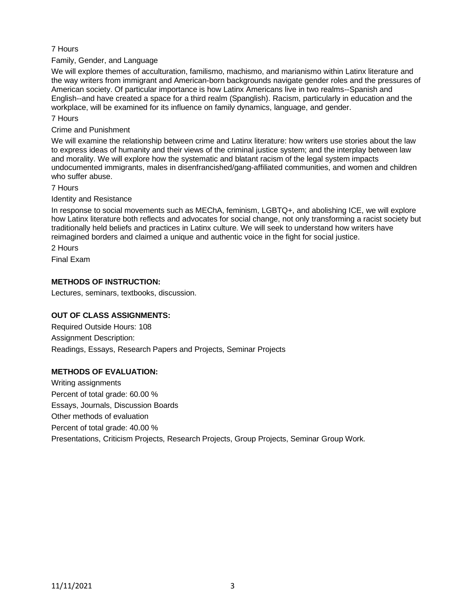### 7 Hours

Family, Gender, and Language

We will explore themes of acculturation, familismo, machismo, and marianismo within Latinx literature and the way writers from immigrant and American-born backgrounds navigate gender roles and the pressures of American society. Of particular importance is how Latinx Americans live in two realms--Spanish and English--and have created a space for a third realm (Spanglish). Racism, particularly in education and the workplace, will be examined for its influence on family dynamics, language, and gender.

### 7 Hours

Crime and Punishment

We will examine the relationship between crime and Latinx literature: how writers use stories about the law to express ideas of humanity and their views of the criminal justice system; and the interplay between law and morality. We will explore how the systematic and blatant racism of the legal system impacts undocumented immigrants, males in disenfrancished/gang-affiliated communities, and women and children who suffer abuse.

### 7 Hours

### Identity and Resistance

In response to social movements such as MEChA, feminism, LGBTQ+, and abolishing ICE, we will explore how Latinx literature both reflects and advocates for social change, not only transforming a racist society but traditionally held beliefs and practices in Latinx culture. We will seek to understand how writers have reimagined borders and claimed a unique and authentic voice in the fight for social justice.

2 Hours

Final Exam

# **METHODS OF INSTRUCTION:**

Lectures, seminars, textbooks, discussion.

### **OUT OF CLASS ASSIGNMENTS:**

Required Outside Hours: 108 Assignment Description: Readings, Essays, Research Papers and Projects, Seminar Projects

### **METHODS OF EVALUATION:**

Writing assignments Percent of total grade: 60.00 % Essays, Journals, Discussion Boards Other methods of evaluation Percent of total grade: 40.00 % Presentations, Criticism Projects, Research Projects, Group Projects, Seminar Group Work.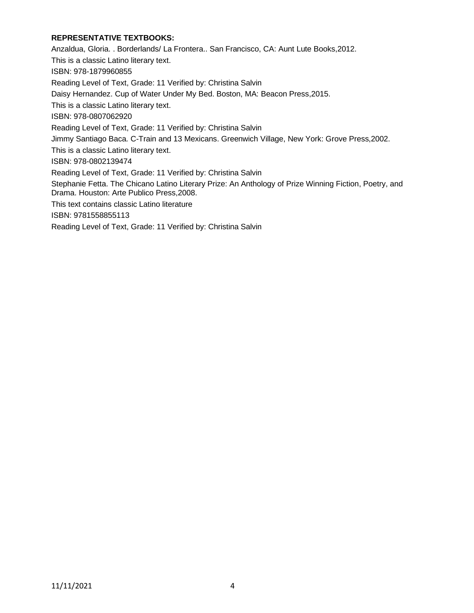# **REPRESENTATIVE TEXTBOOKS:**

Anzaldua, Gloria. . Borderlands/ La Frontera.. San Francisco, CA: Aunt Lute Books,2012. This is a classic Latino literary text. ISBN: 978-1879960855 Reading Level of Text, Grade: 11 Verified by: Christina Salvin Daisy Hernandez. Cup of Water Under My Bed. Boston, MA: Beacon Press,2015. This is a classic Latino literary text. ISBN: 978-0807062920 Reading Level of Text, Grade: 11 Verified by: Christina Salvin Jimmy Santiago Baca. C-Train and 13 Mexicans. Greenwich Village, New York: Grove Press,2002. This is a classic Latino literary text. ISBN: 978-0802139474 Reading Level of Text, Grade: 11 Verified by: Christina Salvin Stephanie Fetta. The Chicano Latino Literary Prize: An Anthology of Prize Winning Fiction, Poetry, and Drama. Houston: Arte Publico Press,2008. This text contains classic Latino literature ISBN: 9781558855113 Reading Level of Text, Grade: 11 Verified by: Christina Salvin